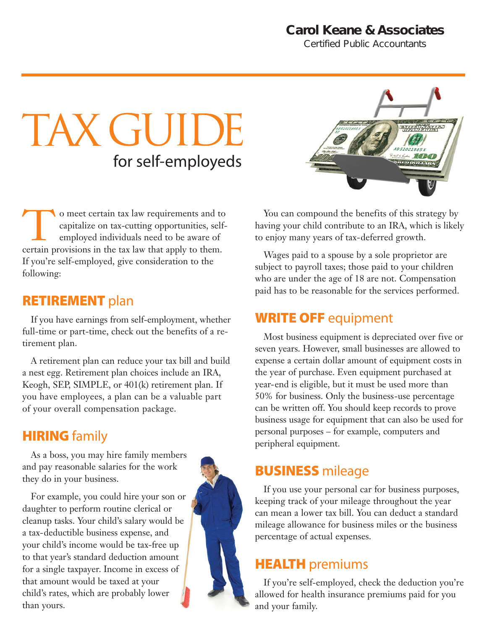## **Carol Keane & Associates**

*Certified Public Accountants*

# TAX GUIDE for self-employeds

To meet certain tax law requirements and to<br>capitalize on tax-cutting opportunities, self-<br>employed individuals need to be aware of<br>certain provisions in the tax law that apply to them. capitalize on tax-cutting opportunities, selfemployed individuals need to be aware of certain provisions in the tax law that apply to them. If you're self-employed, give consideration to the following:

#### **RETIREMENT plan**

If you have earnings from self-employment, whether full-time or part-time, check out the benefits of a retirement plan.

A retirement plan can reduce your tax bill and build a nest egg. Retirement plan choices include an IRA, Keogh, SEP, SIMPLE, or 401(k) retirement plan. If you have employees, a plan can be a valuable part of your overall compensation package.

### **HIRING** family

As a boss, you may hire family members and pay reasonable salaries for the work they do in your business.

For example, you could hire your son or daughter to perform routine clerical or cleanup tasks. Your child's salary would be a tax-deductible business expense, and your child's income would be tax-free up to that year's standard deduction amount for a single taxpayer. Income in excess of that amount would be taxed at your child's rates, which are probably lower than yours.





You can compound the benefits of this strategy by having your child contribute to an IRA, which is likely to enjoy many years of tax-deferred growth.

Wages paid to a spouse by a sole proprietor are subject to payroll taxes; those paid to your children who are under the age of 18 are not. Compensation paid has to be reasonable for the services performed.

## WRITE OFF equipment

Most business equipment is depreciated over five or seven years. However, small businesses are allowed to expense a certain dollar amount of equipment costs in the year of purchase. Even equipment purchased at year-end is eligible, but it must be used more than 50% for business. Only the business-use percentage can be written off. You should keep records to prove business usage for equipment that can also be used for personal purposes – for example, computers and peripheral equipment.

## BUSINESS mileage

If you use your personal car for business purposes, keeping track of your mileage throughout the year can mean a lower tax bill. You can deduct a standard mileage allowance for business miles or the business percentage of actual expenses.

## **HEALTH** premiums

If you're self-employed, check the deduction you're allowed for health insurance premiums paid for you and your family.